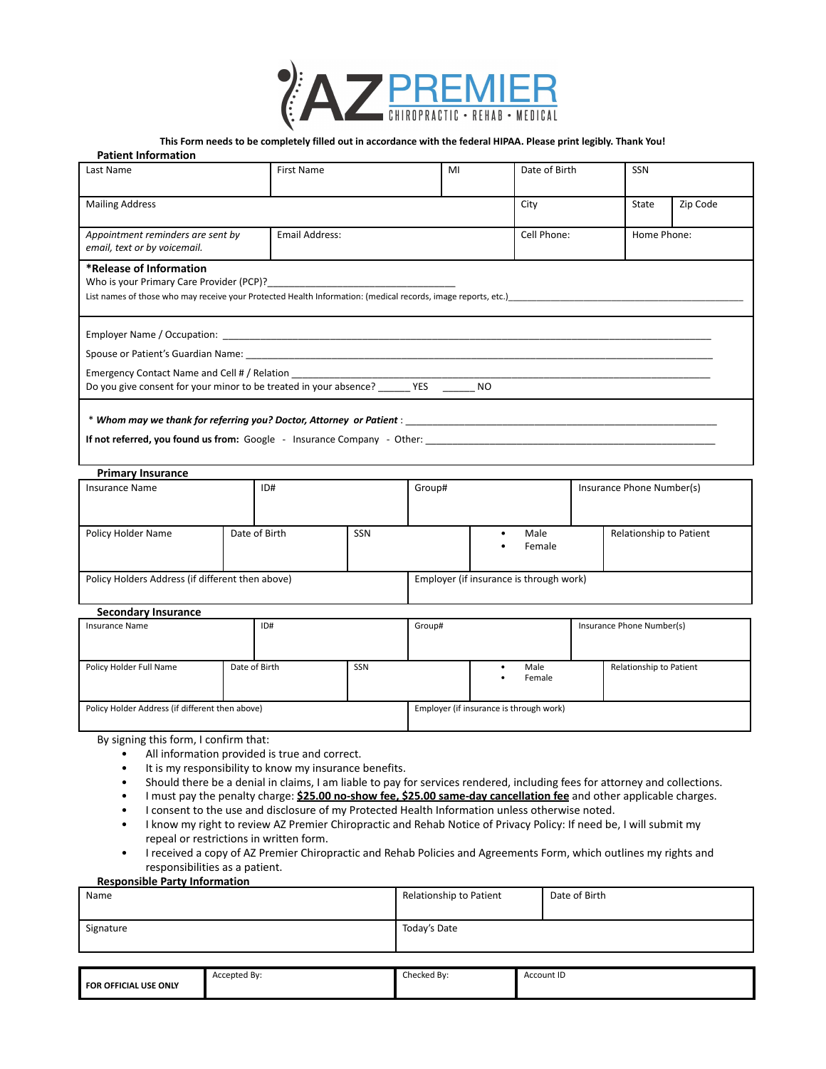

This Form needs to be completely filled out in accordance with the federal HIPAA. Please print legibly. Thank You!<br>cmation

| <b>Patient Information</b>                                                                                    |                       |    |               |                   |  |
|---------------------------------------------------------------------------------------------------------------|-----------------------|----|---------------|-------------------|--|
| Last Name                                                                                                     | <b>First Name</b>     | MI | Date of Birth | <b>SSN</b>        |  |
|                                                                                                               |                       |    |               |                   |  |
| <b>Mailing Address</b>                                                                                        |                       |    | City          | Zip Code<br>State |  |
| Appointment reminders are sent by<br>email, text or by voicemail.                                             | <b>Email Address:</b> |    | Cell Phone:   | Home Phone:       |  |
| *Release of Information                                                                                       |                       |    |               |                   |  |
|                                                                                                               |                       |    |               |                   |  |
| List names of those who may receive your Protected Health Information: (medical records, image reports, etc.) |                       |    |               |                   |  |
|                                                                                                               |                       |    |               |                   |  |
|                                                                                                               |                       |    |               |                   |  |
|                                                                                                               |                       |    |               |                   |  |
|                                                                                                               |                       |    |               |                   |  |
| Do you give consent for your minor to be treated in your absence? YES NO                                      |                       |    |               |                   |  |
|                                                                                                               |                       |    |               |                   |  |
|                                                                                                               |                       |    |               |                   |  |
|                                                                                                               |                       |    |               |                   |  |
|                                                                                                               |                       |    |               |                   |  |

| <b>Primary Insurance</b>                         |  |               |                                         |        |                |                           |  |
|--------------------------------------------------|--|---------------|-----------------------------------------|--------|----------------|---------------------------|--|
| Insurance Name                                   |  | ID#           |                                         | Group# |                | Insurance Phone Number(s) |  |
| Policy Holder Name                               |  | Date of Birth | <b>SSN</b>                              |        | Male<br>Female | Relationship to Patient   |  |
| Policy Holders Address (if different then above) |  |               | Employer (if insurance is through work) |        |                |                           |  |

#### **Secondary Insurance**

| <b>Insurance Name</b>                           | ID# |               |                                         | Group# |  | Insurance Phone Number(s) |  |                         |
|-------------------------------------------------|-----|---------------|-----------------------------------------|--------|--|---------------------------|--|-------------------------|
|                                                 |     |               |                                         |        |  |                           |  |                         |
|                                                 |     |               |                                         |        |  |                           |  |                         |
| Policy Holder Full Name                         |     | Date of Birth | SSN                                     |        |  | Male<br>Female            |  | Relationship to Patient |
|                                                 |     |               |                                         |        |  |                           |  |                         |
|                                                 |     |               |                                         |        |  |                           |  |                         |
| Policy Holder Address (if different then above) |     |               | Employer (if insurance is through work) |        |  |                           |  |                         |
|                                                 |     |               |                                         |        |  |                           |  |                         |

By signing this form, I confirm that:

- All information provided is true and correct.
- It is my responsibility to know my insurance benefits.
- Should there be a denial in claims, I am liable to pay for services rendered, including fees for attorney and collections.
- I must pay the penalty charge: **\$25.00 no-show fee, \$25.00 same-day cancellation fee** and other applicable charges.
- I consent to the use and disclosure of my Protected Health Information unless otherwise noted.
- I know my right to review AZ Premier Chiropractic and Rehab Notice of Privacy Policy: If need be, I will submit my repeal or restrictions in written form.
- I received a copy of AZ Premier Chiropractic and Rehab Policies and Agreements Form, which outlines my rights and responsibilities as a patient.

### **Responsible Party Information**

**FOR OFFICIAL USE ONLY**

| Name      |              | Relationship to Patient | Date of Birth |  |
|-----------|--------------|-------------------------|---------------|--|
| Signature |              | Today's Date            |               |  |
|           |              |                         |               |  |
|           | Accepted By: | Checked By:             | Account ID    |  |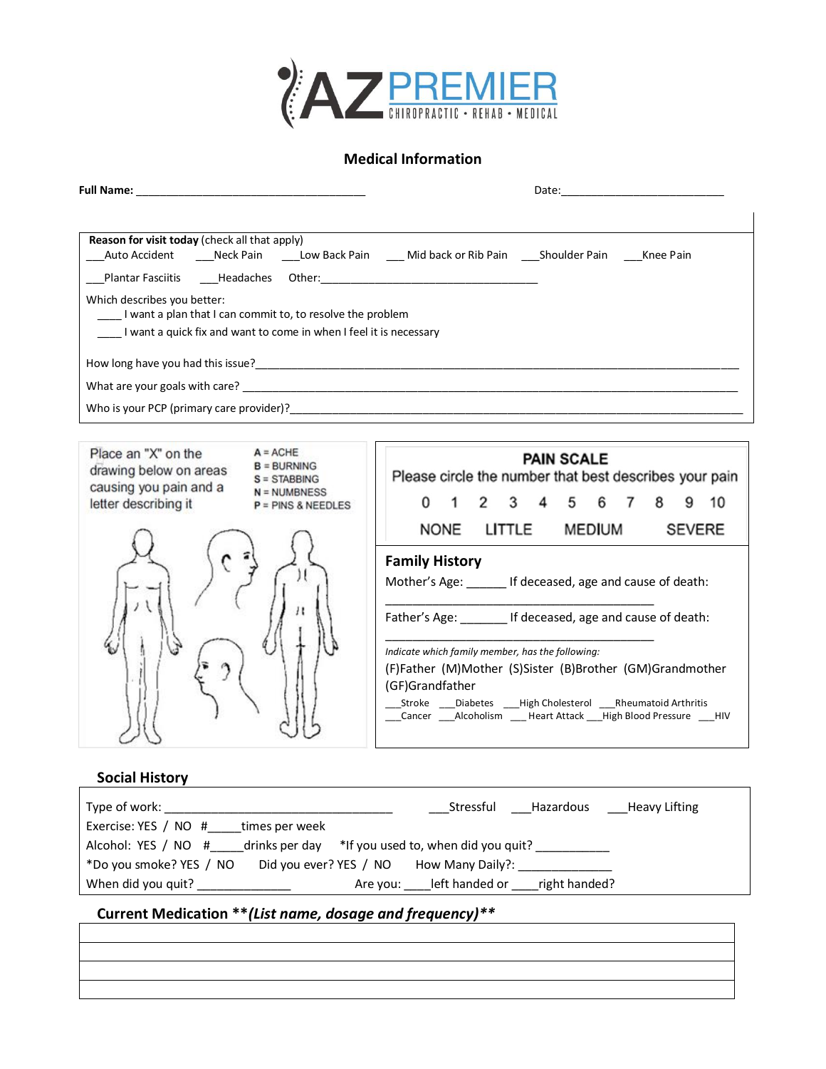

## **Medical Information**

| Reason for visit today (check all that apply)                                                                                                                                              |                                                                                                                                                               |  |  |  |  |
|--------------------------------------------------------------------------------------------------------------------------------------------------------------------------------------------|---------------------------------------------------------------------------------------------------------------------------------------------------------------|--|--|--|--|
|                                                                                                                                                                                            |                                                                                                                                                               |  |  |  |  |
| Which describes you better:<br>I want a plan that I can commit to, to resolve the problem<br>I want a quick fix and want to come in when I feel it is necessary                            |                                                                                                                                                               |  |  |  |  |
|                                                                                                                                                                                            |                                                                                                                                                               |  |  |  |  |
|                                                                                                                                                                                            |                                                                                                                                                               |  |  |  |  |
|                                                                                                                                                                                            | Who is your PCP (primary care provider)?<br>Who is your PCP (primary care provider)?                                                                          |  |  |  |  |
|                                                                                                                                                                                            |                                                                                                                                                               |  |  |  |  |
| Place an "X" on the<br>$A = ACHE$<br>$B = BURNING$<br>drawing below on areas<br>$S = STABBING$<br>causing you pain and a<br>$N = NUMBNESS$<br>letter describing it<br>$P = PINS & NEEDLES$ | <b>PAIN SCALE</b><br>Please circle the number that best describes your pain<br>6 7 8<br>2 3 4 5<br>$\Omega$<br>10<br>1<br>NONE LITTLE MEDIUM<br><b>SEVERE</b> |  |  |  |  |
|                                                                                                                                                                                            | <b>Family History</b>                                                                                                                                         |  |  |  |  |
|                                                                                                                                                                                            | Mother's Age: _______ If deceased, age and cause of death:                                                                                                    |  |  |  |  |
|                                                                                                                                                                                            | Father's Age: If deceased, age and cause of death:                                                                                                            |  |  |  |  |
| Indicate which family member, has the following:                                                                                                                                           |                                                                                                                                                               |  |  |  |  |
|                                                                                                                                                                                            | (F)Father (M)Mother (S)Sister (B)Brother (GM)Grandmother                                                                                                      |  |  |  |  |
|                                                                                                                                                                                            | (GF)Grandfather<br>___Stroke ___Diabetes ___High Cholesterol ___Rheumatoid Arthritis                                                                          |  |  |  |  |
|                                                                                                                                                                                            | Cancer Alcoholism Heart Attack High Blood Pressure HIV                                                                                                        |  |  |  |  |
|                                                                                                                                                                                            |                                                                                                                                                               |  |  |  |  |

### **Social History**

| Type of work:                                                       | Stressful<br>Hazardous<br>Heavy Lifting            |
|---------------------------------------------------------------------|----------------------------------------------------|
| Exercise: YES / NO #<br>times per week                              |                                                    |
| Alcohol: YES / NO #                                                 | drinks per day *If you used to, when did you quit? |
| *Do you smoke? YES / NO   Did you ever? YES / NO   How Many Daily?: |                                                    |
| When did you quit?                                                  | Are you: left handed or right handed?              |
|                                                                     |                                                    |

# **Current Medication \*\****(List name, dosage and frequency)\*\**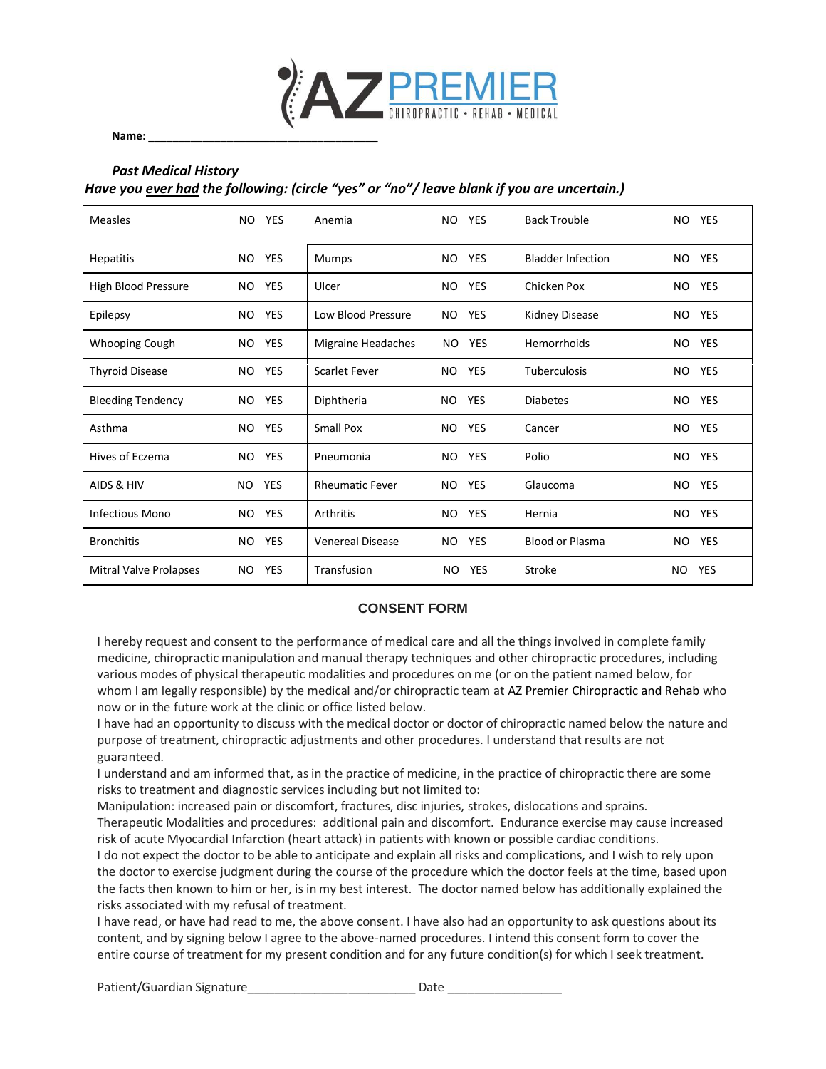

Name:

## *Past Medical History Have you ever had the following: (circle "yes" or "no"/ leave blank if you are uncertain.)*

| <b>Measles</b>                | YES<br>NO.                   | Anemia                  | <b>YES</b><br>N <sub>O</sub> | <b>Back Trouble</b>      | NO.<br><b>YES</b>            |
|-------------------------------|------------------------------|-------------------------|------------------------------|--------------------------|------------------------------|
| <b>Hepatitis</b>              | N <sub>O</sub><br><b>YES</b> | Mumps                   | <b>YES</b><br>NO.            | <b>Bladder Infection</b> | <b>YES</b><br>NO.            |
| High Blood Pressure           | <b>YES</b><br>NO.            | Ulcer                   | NO.<br><b>YES</b>            | <b>Chicken Pox</b>       | YES<br>NO.                   |
| Epilepsy                      | <b>YES</b><br>NO.            | Low Blood Pressure      | <b>YES</b><br>NO.            | Kidney Disease           | YES<br>NO.                   |
| Whooping Cough                | NO.<br><b>YES</b>            | Migraine Headaches      | NO.<br>YES                   | Hemorrhoids              | NO.<br><b>YES</b>            |
| <b>Thyroid Disease</b>        | <b>YES</b><br>NO.            | <b>Scarlet Fever</b>    | <b>YES</b><br>N <sub>O</sub> | Tuberculosis             | YES<br>NO.                   |
| <b>Bleeding Tendency</b>      | <b>YES</b><br>NO.            | Diphtheria              | <b>YES</b><br>N <sub>O</sub> | <b>Diabetes</b>          | YES<br>NO.                   |
| Asthma                        | <b>YES</b><br>NO.            | Small Pox               | <b>YES</b><br>N <sub>O</sub> | Cancer                   | YES<br>NO.                   |
| Hives of Eczema               | <b>YES</b><br>NO.            | Pneumonia               | NO.<br><b>YES</b>            | Polio                    | YES<br>NO.                   |
| AIDS & HIV                    | <b>YES</b><br>NO.            | <b>Rheumatic Fever</b>  | YES<br>NO.                   | Glaucoma                 | NO.<br>YES                   |
| Infectious Mono               | <b>YES</b><br>NO.            | Arthritis               | <b>YES</b><br>N <sub>O</sub> | Hernia                   | YES<br>NO.                   |
| <b>Bronchitis</b>             | <b>YES</b><br>NO.            | <b>Venereal Disease</b> | <b>YES</b><br>NO.            | <b>Blood or Plasma</b>   | YES<br>NO.                   |
| <b>Mitral Valve Prolapses</b> | <b>YES</b><br><b>NO</b>      | Transfusion             | <b>YES</b><br>NO.            | Stroke                   | <b>YES</b><br>N <sub>O</sub> |

## **CONSENT FORM**

I hereby request and consent to the performance of medical care and all the things involved in complete family medicine, chiropractic manipulation and manual therapy techniques and other chiropractic procedures, including various modes of physical therapeutic modalities and procedures on me (or on the patient named below, for whom I am legally responsible) by the medical and/or chiropractic team at AZ Premier Chiropractic and Rehab who now or in the future work at the clinic or office listed below.

I have had an opportunity to discuss with the medical doctor or doctor of chiropractic named below the nature and purpose of treatment, chiropractic adjustments and other procedures. I understand that results are not guaranteed.

I understand and am informed that, as in the practice of medicine, in the practice of chiropractic there are some risks to treatment and diagnostic services including but not limited to:

Manipulation: increased pain or discomfort, fractures, disc injuries, strokes, dislocations and sprains.

Therapeutic Modalities and procedures: additional pain and discomfort. Endurance exercise may cause increased risk of acute Myocardial Infarction (heart attack) in patients with known or possible cardiac conditions.

I do not expect the doctor to be able to anticipate and explain all risks and complications, and I wish to rely upon the doctor to exercise judgment during the course of the procedure which the doctor feels at the time, based upon the facts then known to him or her, is in my best interest. The doctor named below has additionally explained the risks associated with my refusal of treatment.

I have read, or have had read to me, the above consent. I have also had an opportunity to ask questions about its content, and by signing below I agree to the above-named procedures. I intend this consent form to cover the entire course of treatment for my present condition and for any future condition(s) for which I seek treatment.

Patient/Guardian Signature\_\_\_\_\_\_\_\_\_\_\_\_\_\_\_\_\_\_\_\_\_\_\_\_\_ Date \_\_\_\_\_\_\_\_\_\_\_\_\_\_\_\_\_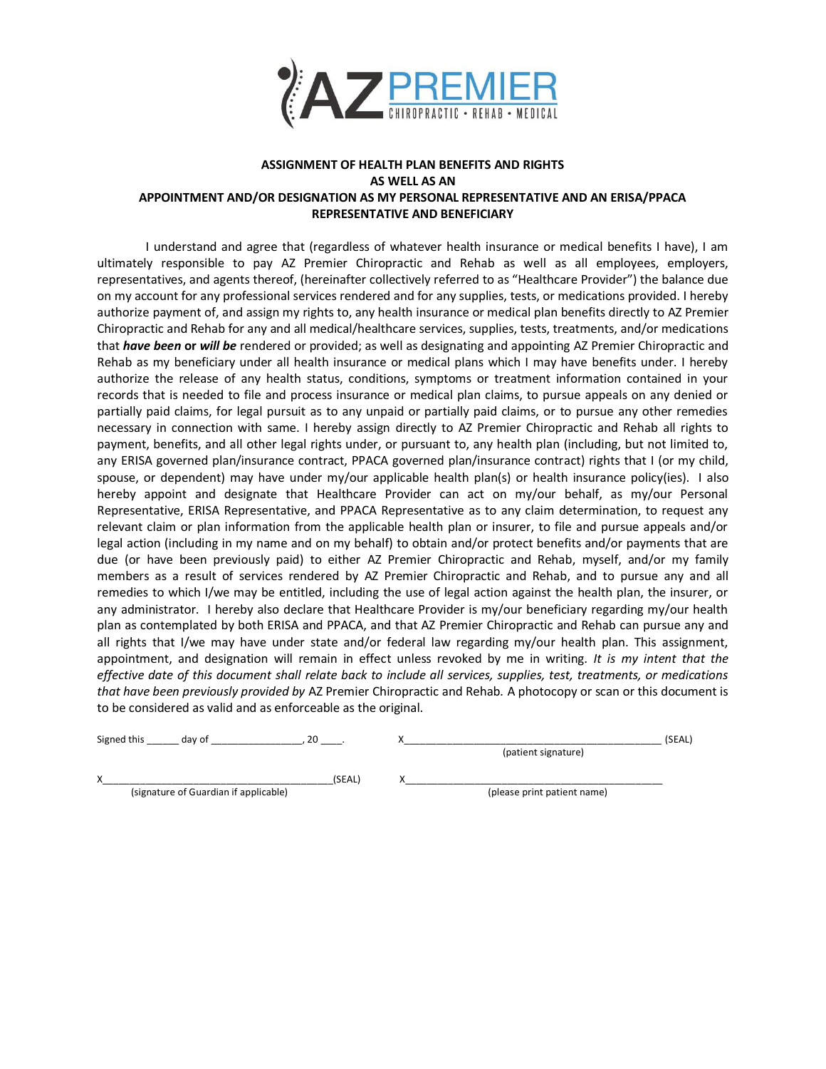

### **ASSIGNMENT OF HEALTH PLAN BENEFITS AND RIGHTS AS WELL AS AN APPOINTMENT AND/OR DESIGNATION AS MY PERSONAL REPRESENTATIVE AND AN ERISA/PPACA REPRESENTATIVE AND BENEFICIARY**

I understand and agree that (regardless of whatever health insurance or medical benefits I have), I am ultimately responsible to pay AZ Premier Chiropractic and Rehab as well as all employees, employers, representatives, and agents thereof, (hereinafter collectively referred to as "Healthcare Provider") the balance due on my account for any professional services rendered and for any supplies, tests, or medications provided. I hereby authorize payment of, and assign my rights to, any health insurance or medical plan benefits directly to AZ Premier Chiropractic and Rehab for any and all medical/healthcare services, supplies, tests, treatments, and/or medications that *have been* **or** *will be* rendered or provided; as well as designating and appointing AZ Premier Chiropractic and Rehab as my beneficiary under all health insurance or medical plans which I may have benefits under. I hereby authorize the release of any health status, conditions, symptoms or treatment information contained in your records that is needed to file and process insurance or medical plan claims, to pursue appeals on any denied or partially paid claims, for legal pursuit as to any unpaid or partially paid claims, or to pursue any other remedies necessary in connection with same. I hereby assign directly to AZ Premier Chiropractic and Rehab all rights to payment, benefits, and all other legal rights under, or pursuant to, any health plan (including, but not limited to, any ERISA governed plan/insurance contract, PPACA governed plan/insurance contract) rights that I (or my child, spouse, or dependent) may have under my/our applicable health plan(s) or health insurance policy(ies). I also hereby appoint and designate that Healthcare Provider can act on my/our behalf, as my/our Personal Representative, ERISA Representative, and PPACA Representative as to any claim determination, to request any relevant claim or plan information from the applicable health plan or insurer, to file and pursue appeals and/or legal action (including in my name and on my behalf) to obtain and/or protect benefits and/or payments that are due (or have been previously paid) to either AZ Premier Chiropractic and Rehab, myself, and/or my family members as a result of services rendered by AZ Premier Chiropractic and Rehab, and to pursue any and all remedies to which I/we may be entitled, including the use of legal action against the health plan, the insurer, or any administrator. I hereby also declare that Healthcare Provider is my/our beneficiary regarding my/our health plan as contemplated by both ERISA and PPACA, and that AZ Premier Chiropractic and Rehab can pursue any and all rights that I/we may have under state and/or federal law regarding my/our health plan. This assignment, appointment, and designation will remain in effect unless revoked by me in writing. *It is my intent that the effective date of this document shall relate back to include all services, supplies, test, treatments, or medications that have been previously provided by* AZ Premier Chiropractic and Rehab*.* A photocopy or scan or this document is to be considered as valid and as enforceable as the original.

| $\ddot{\phantom{1}}$<br>Sigr<br>ตาเร | dav<br>ി | -<br>__ |  |  |  |  |
|--------------------------------------|----------|---------|--|--|--|--|
|--------------------------------------|----------|---------|--|--|--|--|

(patient signature)

X\_\_\_\_\_\_\_\_\_\_\_\_\_\_\_\_\_\_\_\_\_\_\_\_\_\_\_\_\_\_\_\_\_\_\_\_\_\_\_\_\_\_\_(SEAL) X\_\_\_\_\_\_\_\_\_\_\_\_\_\_\_\_\_\_\_\_\_\_\_\_\_\_\_\_\_\_\_\_\_\_\_\_\_\_\_\_\_\_\_\_\_\_\_\_

(signature of Guardian if applicable) (please print patient name)